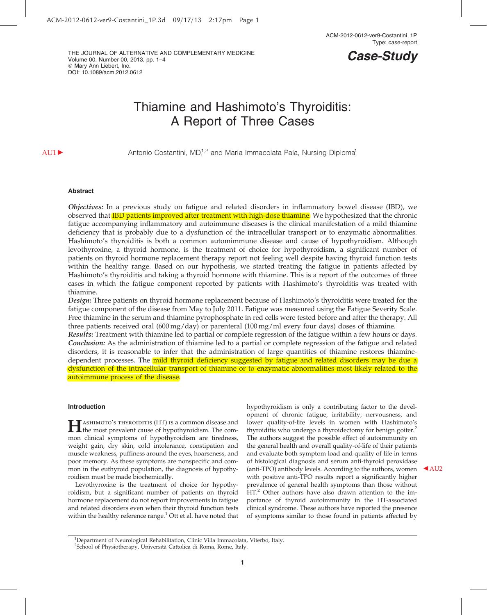THE JOURNAL OF ALTERNATIVE AND COMPLEMENTARY MEDICINE Volume 00, Number 00, 2013, pp. 1–4  $@$  Mary Ann Liebert, Inc. DOI: 10.1089/acm.2012.0612

# Case-Study

# Thiamine and Hashimoto's Thyroiditis: A Report of Three Cases

AU1  $\blacktriangleright$  Antonio Costantini, MD,<sup>1,2</sup> and Maria Immacolata Pala, Nursing Diploma<sup>1</sup>

### Abstract

Objectives: In a previous study on fatigue and related disorders in inflammatory bowel disease (IBD), we observed that **IBD patients improved after treatment with high-dose thiamine**. We hypothesized that the chronic fatigue accompanying inflammatory and autoimmune diseases is the clinical manifestation of a mild thiamine deficiency that is probably due to a dysfunction of the intracellular transport or to enzymatic abnormalities. Hashimoto's thyroiditis is both a common automimmune disease and cause of hypothyroidism. Although levothyroxine, a thyroid hormone, is the treatment of choice for hypothyroidism, a significant number of patients on thyroid hormone replacement therapy report not feeling well despite having thyroid function tests within the healthy range. Based on our hypothesis, we started treating the fatigue in patients affected by Hashimoto's thyroiditis and taking a thyroid hormone with thiamine. This is a report of the outcomes of three cases in which the fatigue component reported by patients with Hashimoto's thyroiditis was treated with thiamine.

Design: Three patients on thyroid hormone replacement because of Hashimoto's thyroiditis were treated for the fatigue component of the disease from May to July 2011. Fatigue was measured using the Fatigue Severity Scale. Free thiamine in the serum and thiamine pyrophosphate in red cells were tested before and after the therapy. All three patients received oral (600 mg/day) or parenteral (100 mg/ml every four days) doses of thiamine.

Results: Treatment with thiamine led to partial or complete regression of the fatigue within a few hours or days. Conclusion: As the administration of thiamine led to a partial or complete regression of the fatigue and related disorders, it is reasonable to infer that the administration of large quantities of thiamine restores thiaminedependent processes. The *mild thyroid deficiency suggested by fatigue and related disorders may be due a* dysfunction of the intracellular transport of thiamine or to enzymatic abnormalities most likely related to the autoimmune process of the disease.

#### Introduction

HASHIMOTO'S THYROIDITIS (HT) IS a common disease and<br>the most prevalent cause of hypothyroidism. The common clinical symptoms of hypothyroidism are tiredness, weight gain, dry skin, cold intolerance, constipation and muscle weakness, puffiness around the eyes, hoarseness, and poor memory. As these symptoms are nonspecific and common in the euthyroid population, the diagnosis of hypothyroidism must be made biochemically.

Levothyroxine is the treatment of choice for hypothyroidism, but a significant number of patients on thyroid hormone replacement do not report improvements in fatigue and related disorders even when their thyroid function tests within the healthy reference range.<sup>1</sup> Ott et al. have noted that

hypothyroidism is only a contributing factor to the development of chronic fatigue, irritability, nervousness, and lower quality-of-life levels in women with Hashimoto's thyroiditis who undergo a thyroidectomy for benign goiter.<sup>2</sup> The authors suggest the possible effect of autoimmunity on the general health and overall quality-of-life of their patients and evaluate both symptom load and quality of life in terms of histological diagnosis and serum anti-thyroid peroxidase (anti-TPO) antibody levels. According to the authors, women  $\triangle$ AU2 with positive anti-TPO results report a significantly higher prevalence of general health symptoms than those without HT.<sup>2</sup> Other authors have also drawn attention to the importance of thyroid autoimmunity in the HT-associated clinical syndrome. These authors have reported the presence of symptoms similar to those found in patients affected by

<sup>&</sup>lt;sup>1</sup>Department of Neurological Rehabilitation, Clinic Villa Immacolata, Viterbo, Italy. <sup>2</sup>School of Physiotherapy, Università Cattolica di Roma, Rome, Italy.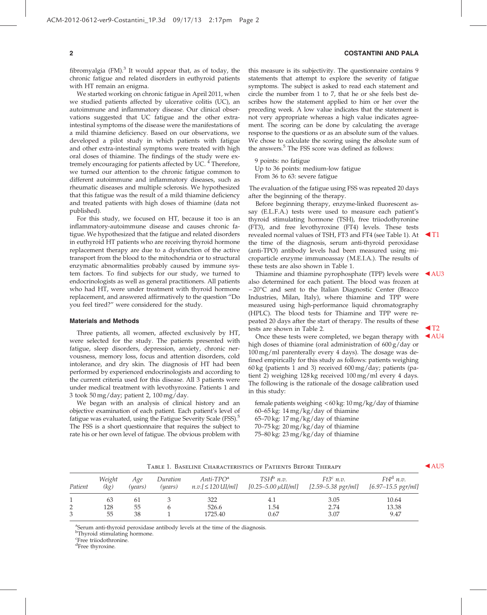#### 2 COSTANTINI AND PALA

fibromyalgia (FM).<sup>3</sup> It would appear that, as of today, the chronic fatigue and related disorders in euthyroid patients with HT remain an enigma.

We started working on chronic fatigue in April 2011, when we studied patients affected by ulcerative colitis (UC), an autoimmune and inflammatory disease. Our clinical observations suggested that UC fatigue and the other extraintestinal symptoms of the disease were the manifestations of a mild thiamine deficiency. Based on our observations, we developed a pilot study in which patients with fatigue and other extra-intestinal symptoms were treated with high oral doses of thiamine. The findings of the study were extremely encouraging for patients affected by UC.<sup>4</sup> Therefore, we turned our attention to the chronic fatigue common to different autoimmune and inflammatory diseases, such as rheumatic diseases and multiple sclerosis. We hypothesized that this fatigue was the result of a mild thiamine deficiency and treated patients with high doses of thiamine (data not published).

For this study, we focused on HT, because it too is an inflammatory-autoimmune disease and causes chronic fatigue. We hypothesized that the fatigue and related disorders in euthyroid HT patients who are receiving thyroid hormone replacement therapy are due to a dysfunction of the active transport from the blood to the mitochondria or to structural enzymatic abnormalities probably caused by immune system factors. To find subjects for our study, we turned to endocrinologists as well as general practitioners. All patients who had HT, were under treatment with thyroid hormone replacement, and answered affirmatively to the question ''Do you feel tired?'' were considered for the study.

#### Materials and Methods

Three patients, all women, affected exclusively by HT, were selected for the study. The patients presented with fatigue, sleep disorders, depression, anxiety, chronic nervousness, memory loss, focus and attention disorders, cold intolerance, and dry skin. The diagnosis of HT had been performed by experienced endocrinologists and according to the current criteria used for this disease. All 3 patients were under medical treatment with levothyroxine. Patients 1 and 3 took 50 mg/day; patient 2, 100 mg/day.

We began with an analysis of clinical history and an objective examination of each patient. Each patient's level of fatigue was evaluated, using the Fatigue Severity Scale (FSS).<sup>5</sup> The FSS is a short questionnaire that requires the subject to rate his or her own level of fatigue. The obvious problem with this measure is its subjectivity. The questionnaire contains 9 statements that attempt to explore the severity of fatigue symptoms. The subject is asked to read each statement and circle the number from 1 to 7, that he or she feels best describes how the statement applied to him or her over the preceding week. A low value indicates that the statement is not very appropriate whereas a high value indicates agreement. The scoring can be done by calculating the average response to the questions or as an absolute sum of the values. We chose to calculate the scoring using the absolute sum of the answers. $5$  The FSS score was defined as follows:

9 points: no fatigue Up to 36 points: medium-low fatigue From 36 to 63: severe fatigue

The evaluation of the fatigue using FSS was repeated 20 days after the beginning of the therapy.

Before beginning therapy, enzyme-linked fluorescent assay (E.L.F.A.) tests were used to measure each patient's thyroid stimulating hormone (TSH), free triiodothyronine (FT3), and free levothyroxine (FT4) levels. These tests revealed normal values of TSH, FT3 and FT4 (see Table 1). At  $\blacktriangleleft$ T1 the time of the diagnosis, serum anti-thyroid peroxidase (anti-TPO) antibody levels had been measured using microparticle enzyme immunoassay (M.E.I.A.). The results of these tests are also shown in Table 1.

Thiamine and thiamine pyrophosphate (TPP) levels were  $\triangleleft$ AU3 also determined for each patient. The blood was frozen at -20°C and sent to the Italian Diagnostic Center (Bracco Industries, Milan, Italy), where thiamine and TPP were measured using high-performance liquid chromatography (HPLC). The blood tests for Thiamine and TPP were repeated 20 days after the start of therapy. The results of these tests are shown in Table 2.  $\triangleleft$  T2<br>Once these tests were completed, we began therapy with  $\triangleleft$  AU4

Once these tests were completed, we began therapy with high doses of thiamine (oral administration of 600 g/day or 100 mg/ml parenterally every 4 days). The dosage was defined empirically for this study as follows: patients weighing 60 kg (patients 1 and 3) received 600 mg/day; patients (patient 2) weighing 128 kg received 100 mg/ml every 4 days. The following is the rationale of the dosage calibration used in this study:

female patients weighing < 60 kg: 10mg/kg/day of thiamine 60–65 kg: 14 mg/kg/day of thiamine 65–70 kg: 17 mg/kg/day of thiamine 70–75 kg: 20 mg/kg/day of thiamine 75–80 kg: 23 mg/kg/day of thiamine

TABLE 1. BASELINE CHARACTERISTICS OF PATIENTS BEFORE THERAPY AU5

| Patient | Weight<br>(kg) | Age<br>(years) | Duration<br>(years) | $Anti-TPOa$<br>$n.v.$ [ $\leq$ 120 UI/ml] | $TSH^b$ n.v.<br>$[0.25 - 5.00 \,\mu$ UI/ml] | $Ft3^c$ n.v.<br>$[2.59 - 5.38 \, p\text{gr/ml}]$ | $Ft4^a$ n.v.<br>$[6.97 - 15.5 pgr/ml]$ |  |  |  |  |
|---------|----------------|----------------|---------------------|-------------------------------------------|---------------------------------------------|--------------------------------------------------|----------------------------------------|--|--|--|--|
|         | 63             | -61            |                     | 322                                       | 4.1                                         | 3.05                                             | 10.64                                  |  |  |  |  |
| 2.      | 128            | 55             |                     | 526.6                                     | 1.54                                        | 2.74                                             | 13.38                                  |  |  |  |  |
|         | 55             | 38             |                     | 1725.40                                   | 0.67                                        | 3.07                                             | 9.47                                   |  |  |  |  |

<sup>a</sup>Serum anti-thyroid peroxidase antibody levels at the time of the diagnosis.

<sup>b</sup>Thyroid stimulating hormone.

c Free triiodothronine.

<sup>d</sup>Free thyroxine.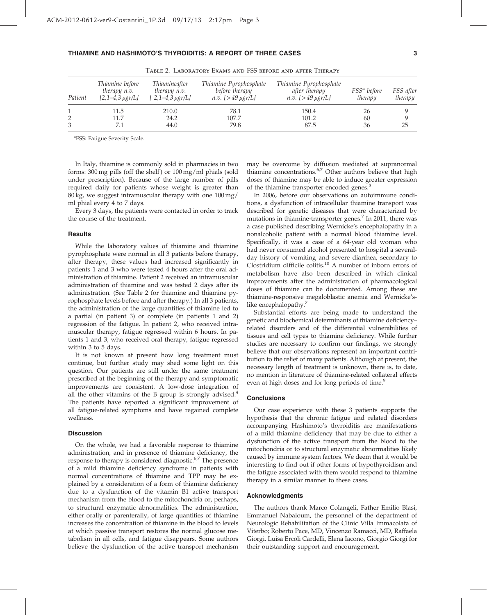| TABLE 2. LABORATORY EXAMS AND FSS BEFORE AND AFTER THERAPY |                                 |                                                                                        |                                                                          |                                                                          |                                    |                      |  |  |  |  |
|------------------------------------------------------------|---------------------------------|----------------------------------------------------------------------------------------|--------------------------------------------------------------------------|--------------------------------------------------------------------------|------------------------------------|----------------------|--|--|--|--|
| Patient                                                    | Thiamine before<br>therapy n.v. | Thiamineafter<br>therapy n.v.<br>$[2,1-4,3 \mu\text{gr/L}]$ $[2,1-4,3 \mu\text{gr/L}]$ | Thiamine Pyrophosphate<br>before therapy<br><i>n.v.</i> $[>49 \mu gr/L]$ | Thiamine Pyrophosphate<br>after therapy<br><i>n.v.</i> $[>49 \mu g r/L]$ | FSS <sup>a</sup> before<br>therapy | FSS after<br>therapy |  |  |  |  |
| 2                                                          | 11.5<br>11.7                    | 210.0<br>24.2                                                                          | 78.1<br>107.7                                                            | 150.4<br>101.2                                                           | 26<br>60                           |                      |  |  |  |  |
| 3                                                          |                                 | 44.0                                                                                   | 79.8                                                                     | 87.5                                                                     | 36                                 | 25                   |  |  |  |  |

## THIAMINE AND HASHIMOTO'S THYROIDITIS: A REPORT OF THREE CASES 3

<sup>a</sup>FSS: Fatigue Severity Scale.

In Italy, thiamine is commonly sold in pharmacies in two forms: 300 mg pills (off the shelf ) or 100 mg/ml phials (sold under prescription). Because of the large number of pills required daily for patients whose weight is greater than 80 kg, we suggest intramuscular therapy with one 100 mg/ ml phial every 4 to 7 days.

Every 3 days, the patients were contacted in order to track the course of the treatment.

#### **Results**

While the laboratory values of thiamine and thiamine pyrophosphate were normal in all 3 patients before therapy, after therapy, these values had increased significantly in patients 1 and 3 who were tested 4 hours after the oral administration of thiamine. Patient 2 received an intramuscular administration of thiamine and was tested 2 days after its administration. (See Table 2 for thiamine and thiamine pyrophosphate levels before and after therapy.) In all 3 patients, the administration of the large quantities of thiamine led to a partial (in patient 3) or complete (in patients 1 and 2) regression of the fatigue. In patient 2, who received intramuscular therapy, fatigue regressed within 6 hours. In patients 1 and 3, who received oral therapy, fatigue regressed within 3 to 5 days.

It is not known at present how long treatment must continue, but further study may shed some light on this question. Our patients are still under the same treatment prescribed at the beginning of the therapy and symptomatic improvements are consistent. A low-dose integration of all the other vitamins of the B group is strongly advised. $4$ The patients have reported a significant improvement of all fatigue-related symptoms and have regained complete wellness.

#### **Discussion**

On the whole, we had a favorable response to thiamine administration, and in presence of thiamine deficiency, the response to therapy is considered diagnostic.<sup>6,7</sup> The presence of a mild thiamine deficiency syndrome in patients with normal concentrations of thiamine and TPP may be explained by a consideration of a form of thiamine deficiency due to a dysfunction of the vitamin B1 active transport mechanism from the blood to the mitochondria or, perhaps, to structural enzymatic abnormalities. The administration, either orally or parenterally, of large quantities of thiamine increases the concentration of thiamine in the blood to levels at which passive transport restores the normal glucose metabolism in all cells, and fatigue disappears. Some authors believe the dysfunction of the active transport mechanism

may be overcome by diffusion mediated at supranormal thiamine concentrations.<sup>6,7</sup> Other authors believe that high doses of thiamine may be able to induce greater expression of the thiamine transporter encoded genes.<sup>8</sup>

In 2006, before our observations on autoimmune conditions, a dysfunction of intracellular thiamine transport was described for genetic diseases that were characterized by mutations in thiamine-transporter genes.<sup>7</sup> In 2011, there was a case published describing Wernicke's encephalopathy in a nonalcoholic patient with a normal blood thiamine level. Specifically, it was a case of a 64-year old woman who had never consumed alcohol presented to hospital a severalday history of vomiting and severe diarrhea, secondary to Clostridium difficile colitis.<sup>10</sup> A number of inborn errors of metabolism have also been described in which clinical improvements after the administration of pharmacological doses of thiamine can be documented. Among these are thiamine-responsive megaloblastic anemia and Wernicke'slike encephalopathy.<sup>7</sup>

Substantial efforts are being made to understand the genetic and biochemical determinants of thiamine deficiency– related disorders and of the differential vulnerabilities of tissues and cell types to thiamine deficiency. While further studies are necessary to confirm our findings, we strongly believe that our observations represent an important contribution to the relief of many patients. Although at present, the necessary length of treatment is unknown, there is, to date, no mention in literature of thiamine-related collateral effects even at high doses and for long periods of time.<sup>9</sup>

## **Conclusions**

Our case experience with these 3 patients supports the hypothesis that the chronic fatigue and related disorders accompanying Hashimoto's thyroiditis are manifestations of a mild thiamine deficiency that may be due to either a dysfunction of the active transport from the blood to the mitochondria or to structural enzymatic abnormalities likely caused by immune system factors. We deem that it would be interesting to find out if other forms of hypothyroidism and the fatigue associated with them would respond to thiamine therapy in a similar manner to these cases.

#### Acknowledgments

The authors thank Marco Colangeli, Father Emilio Blasi, Emmanuel Nabaloum, the personnel of the department of Neurologic Rehabilitation of the Clinic Villa Immacolata of Viterbo; Roberto Pace, MD, Vincenzo Ramacci, MD, Raffaela Giorgi, Luisa Ercoli Cardelli, Elena Iacono, Giorgio Giorgi for their outstanding support and encouragement.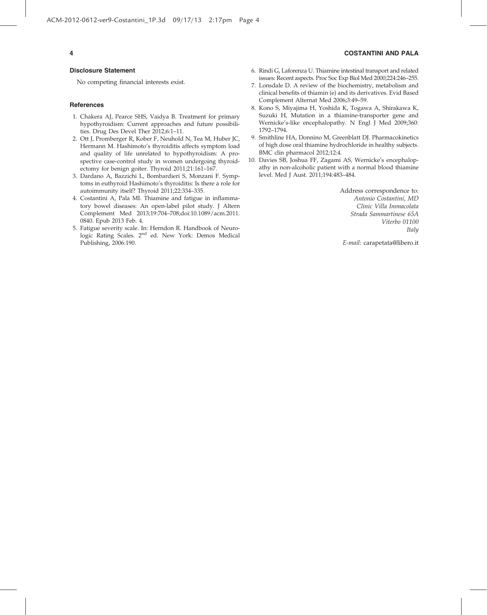#### Disclosure Statement

No competing financial interests exist.

#### **References**

- 1. Chakera AJ, Pearce SHS, Vaidya B. Treatment for primary hypothyroidism: Current approaches and future possibilities. Drug Des Devel Ther 2012;6:1–11.
- 2. Ott J, Promberger R, Kober F, Neuhold N, Tea M, Huber JC, Hermann M. Hashimoto's thyroiditis affects symptom load and quality of life unrelated to hypothyroidism: A prospective case-control study in women undergoing thyroidectomy for benign goiter. Thyroid 2011;21:161–167.
- 3. Dardano A, Bazzichi L, Bombardieri S, Monzani F. Symptoms in euthyroid Hashimoto's thyroiditis: Is there a role for autoimmunity itself? Thyroid 2011;22:334–335.
- 4. Costantini A, Pala MI. Thiamine and fatigue in inflammatory bowel diseases: An open-label pilot study. J Altern Complement Med 2013;19:704–708;doi:10.1089/acm.2011. 0840. Epub 2013 Feb. 4.
- 5. Fatigue severity scale. In: Herndon R. Handbook of Neurologic Rating Scales. 2<sup>nd</sup> ed. New York: Demos Medical Publishing, 2006:190.

# 4 COSTANTINI AND PALA

- 6. Rindi G, Laforenza U. Thiamine intestinal transport and related issues: Recent aspects. Proc Soc Exp Biol Med 2000;224:246–255.
- 7. Lonsdale D. A review of the biochemistry, metabolism and clinical benefits of thiamin (e) and its derivatives. Evid Based Complement Alternat Med 2006;3:49–59.
- 8. Kono S, Miyajima H, Yoshida K, Togawa A, Shirakawa K, Suzuki H, Mutation in a thiamine-transporter gene and Wernicke's-like encephalopathy. N Engl J Med 2009;360: 1792–1794.
- 9. Smithline HA, Donnino M, Greenblatt DJ. Pharmacokinetics of high dose oral thiamine hydrochloride in healthy subjects. BMC clin pharmacol 2012;12:4.
- 10. Davies SB, Joshua FF, Zagami AS, Wernicke's encephalopathy in non-alcoholic patient with a normal blood thiamine level. Med J Aust. 2011;194:483–484.

Address correspondence to: Antonio Costantini, MD Clinic Villa Immacolata Strada Sammartinese 65A Viterbo 01100 Italy

E-mail: carapetata@libero.it